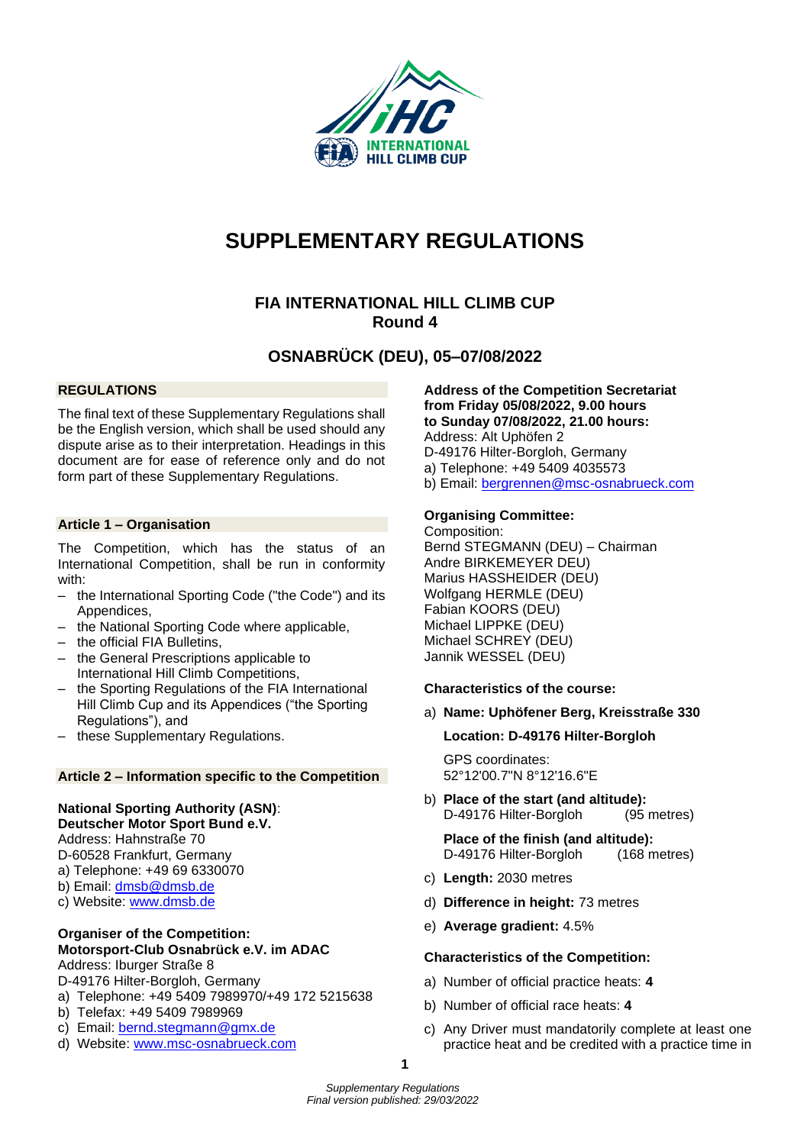

# **SUPPLEMENTARY REGULATIONS**

**FIA INTERNATIONAL HILL CLIMB CUP Round 4**

# **OSNABRÜCK (DEU), 05–07/08/2022**

# **REGULATIONS**

The final text of these Supplementary Regulations shall be the English version, which shall be used should any dispute arise as to their interpretation. Headings in this document are for ease of reference only and do not form part of these Supplementary Regulations.

#### **Article 1 – Organisation**

The Competition, which has the status of an International Competition, shall be run in conformity with:

- ‒ the International Sporting Code ("the Code") and its Appendices,
- the National Sporting Code where applicable,
- ‒ the official FIA Bulletins,
- ‒ the General Prescriptions applicable to International Hill Climb Competitions,
- the Sporting Regulations of the FIA International Hill Climb Cup and its Appendices ("the Sporting Regulations"), and
- ‒ these Supplementary Regulations.

## **Article 2 – Information specific to the Competition**

#### **National Sporting Authority (ASN)**: **Deutscher Motor Sport Bund e.V.**

Address: Hahnstraße 70 D-60528 Frankfurt, Germany a) Telephone: +49 69 6330070

- b) Email: [dmsb@dmsb.de](mailto:dmsb@dmsb.de)
- c) Website: [www.dmsb.de](http://www.dmsb.de/)

#### **Organiser of the Competition: Motorsport-Club Osnabrück e.V. im ADAC** Address: Iburger Straße 8

D-49176 Hilter-Borgloh, Germany

a) Telephone: +49 5409 7989970/+49 172 5215638

- b) Telefax: +49 5409 7989969
- c) Email: [bernd.stegmann@gmx.de](mailto:bernd.stegmann@gmx.de)
- d) Website: [www.msc-osnabrueck.com](http://www.msc-osnabrueck.com/)

**Address of the Competition Secretariat from Friday 05/08/2022, 9.00 hours to Sunday 07/08/2022, 21.00 hours:** Address: Alt Uphöfen 2 D-49176 Hilter-Borgloh, Germany a) Telephone: +49 5409 4035573 b) Email: [bergrennen@msc-osnabrueck.com](mailto:bergrennen@msc-osnabrueck.com)

#### **Organising Committee:**

Composition: Bernd STEGMANN (DEU) – Chairman Andre BIRKEMEYER DEU) Marius HASSHEIDER (DEU) Wolfgang HERMLE (DEU) Fabian KOORS (DEU) Michael LIPPKE (DEU) Michael SCHREY (DEU) Jannik WESSEL (DEU)

**Characteristics of the course:**

a) **Name: Uphöfener Berg, Kreisstraße 330**

**Location: D-49176 Hilter-Borgloh** 

GPS coordinates: 52°12'00.7"N 8°12'16.6"E

b) **Place of the start (and altitude):** D-49176 Hilter-Borgloh (95 metres)

**Place of the finish (and altitude):** D-49176 Hilter-Borgloh (168 metres)

- c) **Length:** 2030 metres
- d) **Difference in height:** 73 metres
- e) **Average gradient:** 4.5%

#### **Characteristics of the Competition:**

- a) Number of official practice heats: **4**
- b) Number of official race heats: **4**
- c) Any Driver must mandatorily complete at least one practice heat and be credited with a practice time in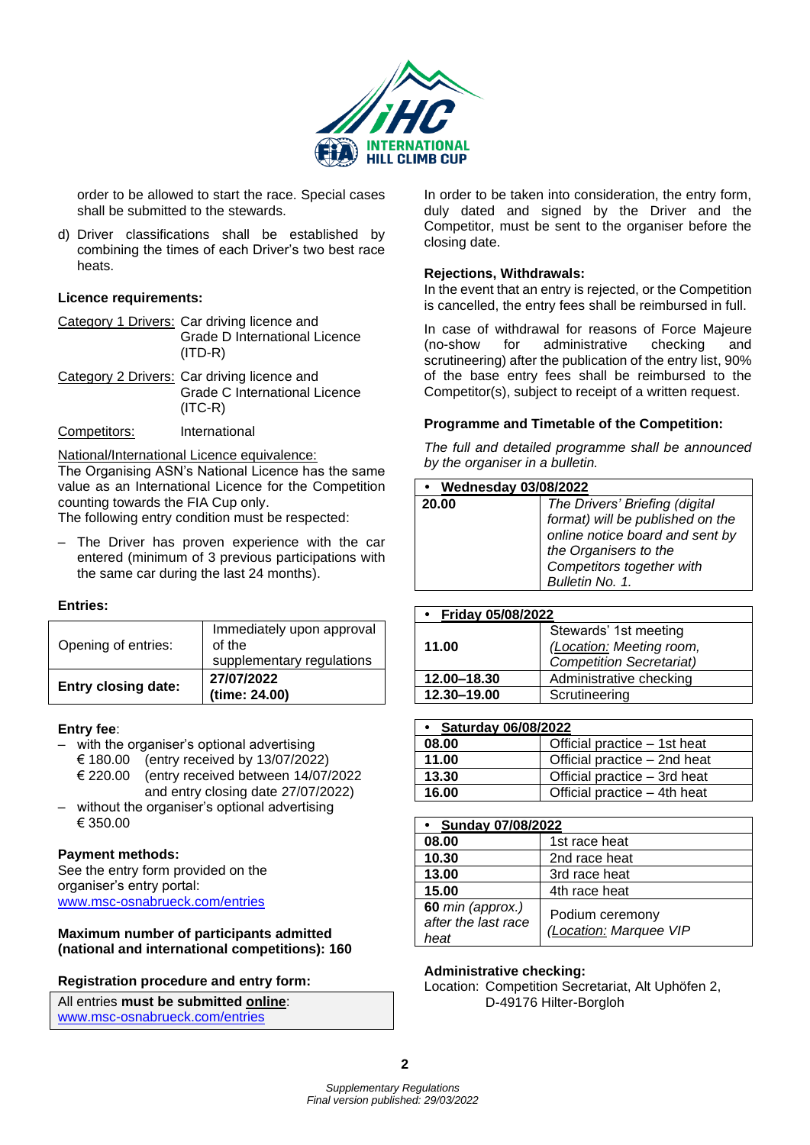

order to be allowed to start the race. Special cases shall be submitted to the stewards.

d) Driver classifications shall be established by combining the times of each Driver's two best race heats.

# **Licence requirements:**

- Category 1 Drivers: Car driving licence and Grade D International Licence (ITD-R)
- Category 2 Drivers: Car driving licence and Grade C International Licence  $(ITC-R)$
- Competitors: International

National/International Licence equivalence:

The Organising ASN's National Licence has the same value as an International Licence for the Competition counting towards the FIA Cup only.

The following entry condition must be respected:

‒ The Driver has proven experience with the car entered (minimum of 3 previous participations with the same car during the last 24 months).

#### **Entries:**

| supplementary regulations |
|---------------------------|
| of the                    |
| Immediately upon approval |
|                           |

#### **Entry fee**:

with the organiser's optional advertising

€ 180.00 (entry received by 13/07/2022)

- € 220.00 (entry received between 14/07/2022 and entry closing date 27/07/2022)
- without the organiser's optional advertising € 350.00

#### **Payment methods:**

See the entry form provided on the organiser's entry portal: [www.msc-osnabrueck.com/entries](http://www.msc-osnabrueck.com/entries)

**Maximum number of participants admitted (national and international competitions): 160**

#### **Registration procedure and entry form:**

All entries **must be submitted [online](https://www.tw-sportsoft.de/Int_Osnabruecker_ADAC_Bergrennen_2019/)**: [www.msc-osnabrueck.com/entries](http://www.msc-osnabrueck.com/entries)

In order to be taken into consideration, the entry form, duly dated and signed by the Driver and the Competitor, must be sent to the organiser before the closing date.

#### **Rejections, Withdrawals:**

In the event that an entry is rejected, or the Competition is cancelled, the entry fees shall be reimbursed in full.

In case of withdrawal for reasons of Force Majeure (no-show for administrative checking and scrutineering) after the publication of the entry list, 90% of the base entry fees shall be reimbursed to the Competitor(s), subject to receipt of a written request.

## **Programme and Timetable of the Competition:**

*The full and detailed programme shall be announced by the organiser in a bulletin.*

| • Wednesday 03/08/2022 |                                  |  |
|------------------------|----------------------------------|--|
| 20.00                  | The Drivers' Briefing (digital   |  |
|                        | format) will be published on the |  |
|                        | online notice board and sent by  |  |
|                        | the Organisers to the            |  |
|                        | Competitors together with        |  |
|                        | Bulletin No. 1.                  |  |

| • Friday 05/08/2022 |                                 |  |
|---------------------|---------------------------------|--|
|                     | Stewards' 1st meeting           |  |
| 11.00               | (Location: Meeting room,        |  |
|                     | <b>Competition Secretariat)</b> |  |
| 12.00-18.30         | Administrative checking         |  |
| 12.30-19.00         | Scrutineering                   |  |

| • Saturday 06/08/2022 |                              |  |
|-----------------------|------------------------------|--|
| 08.00                 | Official practice - 1st heat |  |
| 11.00                 | Official practice - 2nd heat |  |
| 13.30                 | Official practice - 3rd heat |  |
| 16.00                 | Official practice - 4th heat |  |

| • Sunday 07/08/2022                             |                                           |  |
|-------------------------------------------------|-------------------------------------------|--|
| 08.00                                           | 1st race heat                             |  |
| 10.30                                           | 2nd race heat                             |  |
| 13.00                                           | 3rd race heat                             |  |
| 15.00                                           | 4th race heat                             |  |
| 60 min (approx.)<br>after the last race<br>heat | Podium ceremony<br>(Location: Marquee VIP |  |

#### **Administrative checking:**

Location: Competition Secretariat, Alt Uphöfen 2, D-49176 Hilter-Borgloh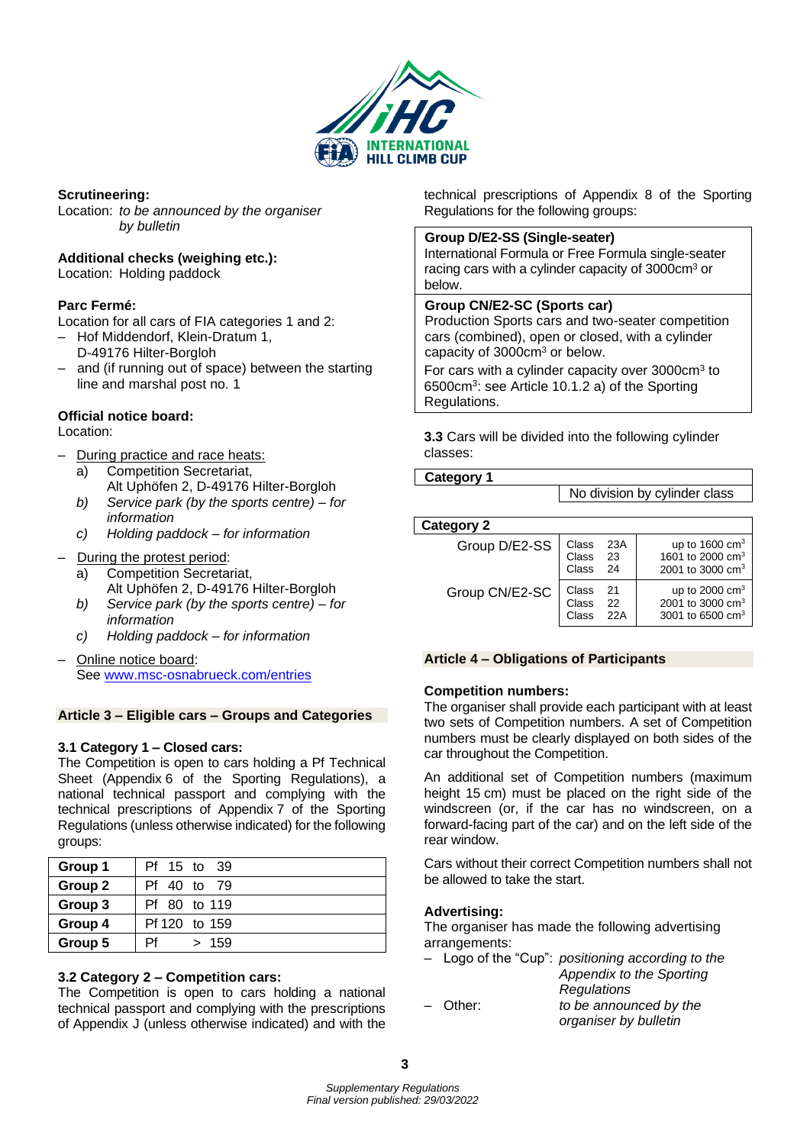

## **Scrutineering:**

Location: *to be announced by the organiser by bulletin*

**Additional checks (weighing etc.):**

Location: Holding paddock

# **Parc Fermé:**

Location for all cars of FIA categories 1 and 2:

- Hof Middendorf, Klein-Dratum 1. D-49176 Hilter-Borgloh
- and (if running out of space) between the starting line and marshal post no. 1

# **Official notice board:**

Location:

- ‒ During practice and race heats: a) Competition Secretariat,
	- Alt Uphöfen 2, D-49176 Hilter-Borgloh *b) Service park (by the sports centre) – for*
	- *information c) Holding paddock – for information*
- ‒ During the protest period:
	- a) Competition Secretariat, Alt Uphöfen 2, D-49176 Hilter-Borgloh
	- *b) Service park (by the sports centre) – for information*
	- *c) Holding paddock – for information*
- ‒ Online notice board: See [www.msc-osnabrueck.com/entries](http://www.msc-osnabrueck.com/entries)

# **Article 3 – Eligible cars – Groups and Categories**

# **3.1 Category 1 – Closed cars:**

The Competition is open to cars holding a Pf Technical Sheet (Appendix 6 of the Sporting Regulations), a national technical passport and complying with the technical prescriptions of Appendix 7 of the Sporting Regulations (unless otherwise indicated) for the following groups:

| Group 1 | Pf 15 to 39   |
|---------|---------------|
| Group 2 | Pf 40 to 79   |
| Group 3 | Pf 80 to 119  |
| Group 4 | Pf 120 to 159 |
| Group 5 | Pf<br>>159    |

# **3.2 Category 2 – Competition cars:**

The Competition is open to cars holding a national technical passport and complying with the prescriptions of Appendix J (unless otherwise indicated) and with the technical prescriptions of Appendix 8 of the Sporting Regulations for the following groups:

## **Group D/E2-SS (Single-seater)**

International Formula or Free Formula single-seater racing cars with a cylinder capacity of 3000cm<sup>3</sup> or below.

## **Group CN/E2-SC (Sports car)**

Production Sports cars and two-seater competition cars (combined), open or closed, with a cylinder capacity of 3000cm<sup>3</sup> or below.

For cars with a cylinder capacity over  $3000 \text{cm}^3$  to 6500cm<sup>3</sup> : see Article 10.1.2 a) of the Sporting Regulations.

**3.3** Cars will be divided into the following cylinder classes:

# **Category 1**

**Category 2**

| Group D/E2-SS  | Class 23A<br>Class 23<br>Class 24              | up to $1600 \text{ cm}^3$<br>1601 to 2000 cm <sup>3</sup><br>2001 to 3000 $cm3$  |
|----------------|------------------------------------------------|----------------------------------------------------------------------------------|
| Group CN/E2-SC | Class 21<br>Class 22<br>Class $\overline{22A}$ | up to 2000 $cm3$<br>2001 to 3000 cm <sup>3</sup><br>3001 to 6500 cm <sup>3</sup> |

No division by cylinder class

# **Article 4 – Obligations of Participants**

# **Competition numbers:**

The organiser shall provide each participant with at least two sets of Competition numbers. A set of Competition numbers must be clearly displayed on both sides of the car throughout the Competition.

An additional set of Competition numbers (maximum height 15 cm) must be placed on the right side of the windscreen (or, if the car has no windscreen, on a forward-facing part of the car) and on the left side of the rear window.

Cars without their correct Competition numbers shall not be allowed to take the start.

# **Advertising:**

The organiser has made the following advertising arrangements:

- ‒ Logo of the "Cup": *positioning according to the Appendix to the Sporting Regulations* ‒ Other: *to be announced by the organiser by bulletin*
	-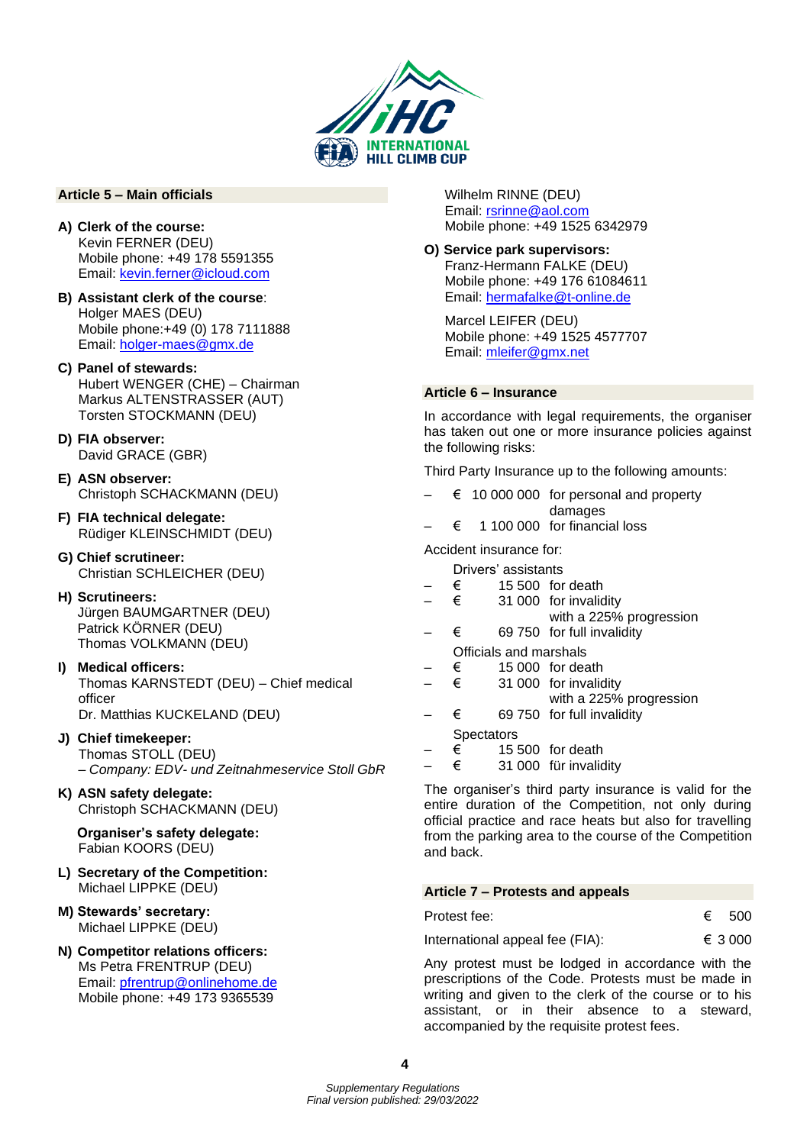

## **Article 5 – Main officials**

- **A) Clerk of the course:** Kevin FERNER (DEU) Mobile phone: +49 178 5591355 Email: [kevin.ferner@icloud.com](mailto:kevin.ferner@icloud.com)
- **B) Assistant clerk of the course**: Holger MAES (DEU) Mobile phone:+49 (0) 178 7111888 Email: [holger-maes@gmx.de](mailto:holger-maes@gmx.de)
- **C) Panel of stewards:** Hubert WENGER (CHE) – Chairman Markus ALTENSTRASSER (AUT) Torsten STOCKMANN (DEU)
- **D) FIA observer:** David GRACE (GBR)
- **E) ASN observer:** Christoph SCHACKMANN (DEU)
- **F) FIA technical delegate:** Rüdiger KLEINSCHMIDT (DEU)
- **G) Chief scrutineer:** Christian SCHLEICHER (DEU)
- **H) Scrutineers:** Jürgen BAUMGARTNER (DEU) Patrick KÖRNER (DEU) Thomas VOLKMANN (DEU)
- **I) Medical officers:** Thomas KARNSTEDT (DEU) – Chief medical officer Dr. Matthias KUCKELAND (DEU)
- **J) Chief timekeeper:** Thomas STOLL (DEU) *– Company: EDV- und Zeitnahmeservice Stoll GbR*
- **K) ASN safety delegate:** Christoph SCHACKMANN (DEU)

**Organiser's safety delegate:** Fabian KOORS (DEU)

- **L) Secretary of the Competition:** Michael LIPPKE (DEU)
- **M) Stewards' secretary:** Michael LIPPKE (DEU)
- **N) Competitor relations officers:** Ms Petra FRENTRUP (DEU) Email: [pfrentrup@onlinehome.de](mailto:pfrentrup@onlinehome.de) Mobile phone: +49 173 9365539

Wilhelm RINNE (DEU) Email: [rsrinne@aol.com](mailto:rsrinne@aol.com) Mobile phone: +49 1525 6342979

**O) Service park supervisors:** Franz-Hermann FALKE (DEU) Mobile phone: +49 176 61084611 Email: [hermafalke@t-online.de](mailto:hermafalke@t-online.de)

Marcel LEIFER (DEU) Mobile phone: +49 1525 4577707 Email: [mleifer@gmx.net](mailto:mleifer@gmx.net)

#### **Article 6 – Insurance**

In accordance with legal requirements, the organiser has taken out one or more insurance policies against the following risks:

Third Party Insurance up to the following amounts:

- $\epsilon$  10 000 000 for personal and property damages
- $\epsilon$  1 100 000 for financial loss

Accident insurance for:

- Drivers' assistants
- $\epsilon$  15 500 for death
- $\overline{-}$   $\overline{\epsilon}$  31 000 for invalidity
	- with a 225% progression
- $\epsilon$  69 750 for full invalidity
- Officials and marshals
- $\epsilon$  15 000 for death
- $\epsilon$  31 000 for invalidity with a 225% progression
	- $\epsilon$  69 750 for full invalidity
- **Spectators**
- $\epsilon$  15 500 for death
- $\overline{-}$   $\overline{\epsilon}$  31 000 für invalidity

The organiser's third party insurance is valid for the entire duration of the Competition, not only during official practice and race heats but also for travelling from the parking area to the course of the Competition and back.

# **Article 7 – Protests and appeals**

| Protest fee: | € 500 |
|--------------|-------|
|              |       |

| € 3 000 |
|---------|
|         |

Any protest must be lodged in accordance with the prescriptions of the Code. Protests must be made in writing and given to the clerk of the course or to his assistant, or in their absence to a steward, accompanied by the requisite protest fees.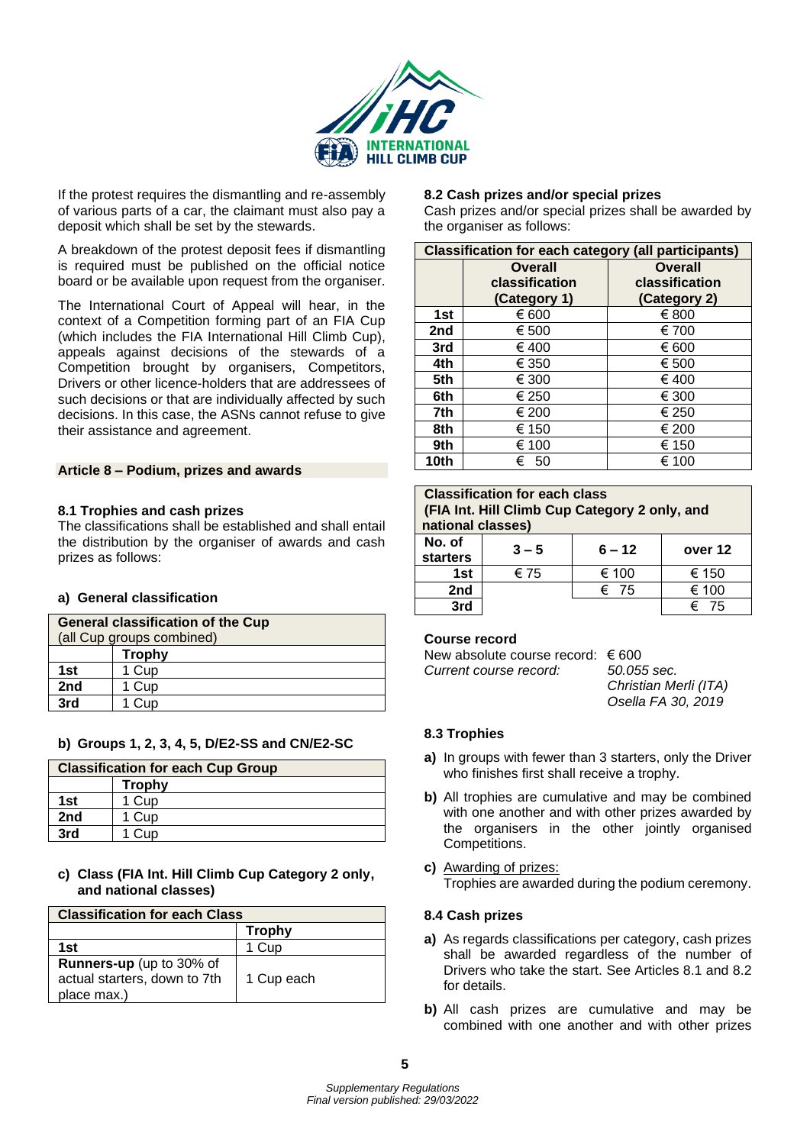

If the protest requires the dismantling and re-assembly of various parts of a car, the claimant must also pay a deposit which shall be set by the stewards.

A breakdown of the protest deposit fees if dismantling is required must be published on the official notice board or be available upon request from the organiser.

The International Court of Appeal will hear, in the context of a Competition forming part of an FIA Cup (which includes the FIA International Hill Climb Cup), appeals against decisions of the stewards of a Competition brought by organisers, Competitors, Drivers or other licence-holders that are addressees of such decisions or that are individually affected by such decisions. In this case, the ASNs cannot refuse to give their assistance and agreement.

#### **Article 8 – Podium, prizes and awards**

#### **8.1 Trophies and cash prizes**

The classifications shall be established and shall entail the distribution by the organiser of awards and cash prizes as follows:

#### **a) General classification**

| <b>General classification of the Cup</b> |               |
|------------------------------------------|---------------|
| (all Cup groups combined)                |               |
|                                          | <b>Trophy</b> |
| 1st                                      | 1 Cup         |
| 2nd                                      | 1 Cup         |
| 3rd                                      | 1 Cup         |

#### **b) Groups 1, 2, 3, 4, 5, D/E2-SS and CN/E2-SC**

| <b>Classification for each Cup Group</b> |               |  |
|------------------------------------------|---------------|--|
|                                          | <b>Trophy</b> |  |
| 1st                                      | 1 Cup         |  |
| 2nd                                      | 1 Cup         |  |
| 3rd                                      | Cup           |  |

**c) Class (FIA Int. Hill Climb Cup Category 2 only, and national classes)**

| <b>Classification for each Class</b> |            |  |
|--------------------------------------|------------|--|
|                                      | Trophv     |  |
| 1st                                  | 1 Cup      |  |
| <b>Runners-up</b> (up to 30% of      |            |  |
| actual starters, down to 7th         | 1 Cup each |  |
| place max.)                          |            |  |

#### **8.2 Cash prizes and/or special prizes**

Cash prizes and/or special prizes shall be awarded by the organiser as follows:

| <b>Classification for each category (all participants)</b> |                                                  |                                                  |  |
|------------------------------------------------------------|--------------------------------------------------|--------------------------------------------------|--|
|                                                            | <b>Overall</b><br>classification<br>(Category 1) | <b>Overall</b><br>classification<br>(Category 2) |  |
| 1st                                                        | € 600                                            | € 800                                            |  |
| 2nd                                                        | € 500                                            | € 700                                            |  |
| 3rd                                                        | € 400                                            | € 600                                            |  |
| 4th                                                        | € 350                                            | € 500                                            |  |
| 5th                                                        | € 300                                            | € 400                                            |  |
| 6th                                                        | € 250                                            | € 300                                            |  |
| 7th                                                        | € 200                                            | € 250                                            |  |
| 8th                                                        | € 150                                            | € 200                                            |  |
| 9th                                                        | € 100                                            | € 150                                            |  |
| 10th                                                       | 50<br>€                                          | € 100                                            |  |

| <b>Classification for each class</b><br>(FIA Int. Hill Climb Cup Category 2 only, and<br>national classes) |         |          |         |  |
|------------------------------------------------------------------------------------------------------------|---------|----------|---------|--|
| No. of<br><b>starters</b>                                                                                  | $3 - 5$ | $6 - 12$ | over 12 |  |
| 1st                                                                                                        | € 75    | € 100    | € 150   |  |
| 2nd                                                                                                        |         | € 75     | € 100   |  |
| 3rd                                                                                                        |         |          | -75     |  |

#### **Course record**

New absolute course record:  $\epsilon$  600 *Current course record: 50.055 sec.*

*Christian Merli (ITA) Osella FA 30, 2019*

#### **8.3 Trophies**

- **a)** In groups with fewer than 3 starters, only the Driver who finishes first shall receive a trophy.
- **b)** All trophies are cumulative and may be combined with one another and with other prizes awarded by the organisers in the other jointly organised Competitions.
- **c)** Awarding of prizes: Trophies are awarded during the podium ceremony.

#### **8.4 Cash prizes**

- **a)** As regards classifications per category, cash prizes shall be awarded regardless of the number of Drivers who take the start. See Articles 8.1 and 8.2 for details.
- **b)** All cash prizes are cumulative and may be combined with one another and with other prizes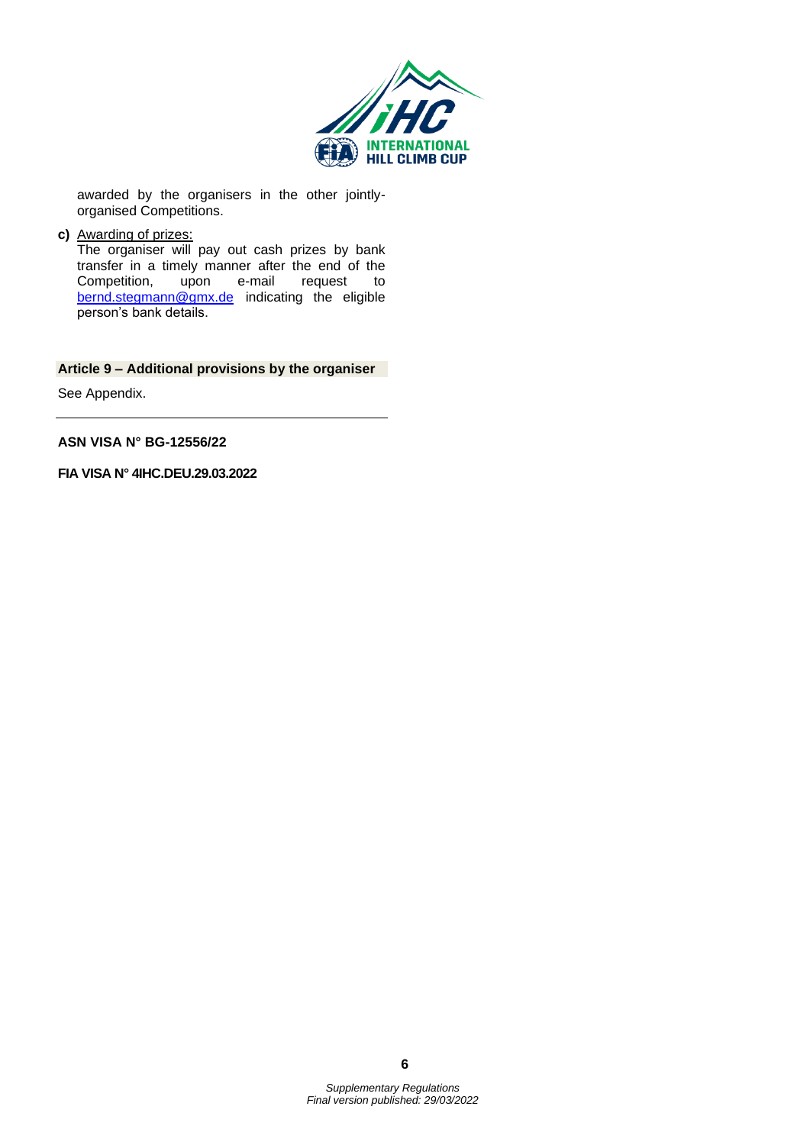

awarded by the organisers in the other jointlyorganised Competitions.

**c)** Awarding of prizes:

The organiser will pay out cash prizes by bank transfer in a timely manner after the end of the Competition, upon e-mail request to [bernd.stegmann@gmx.de](mailto:bernd.stegmann@gmx.de) indicating the eligible person's bank details.

**Article 9 – Additional provisions by the organiser**

See Appendix.

**ASN VISA N° BG-12556/22**

**FIA VISA N° 4IHC.DEU.29.03.2022**